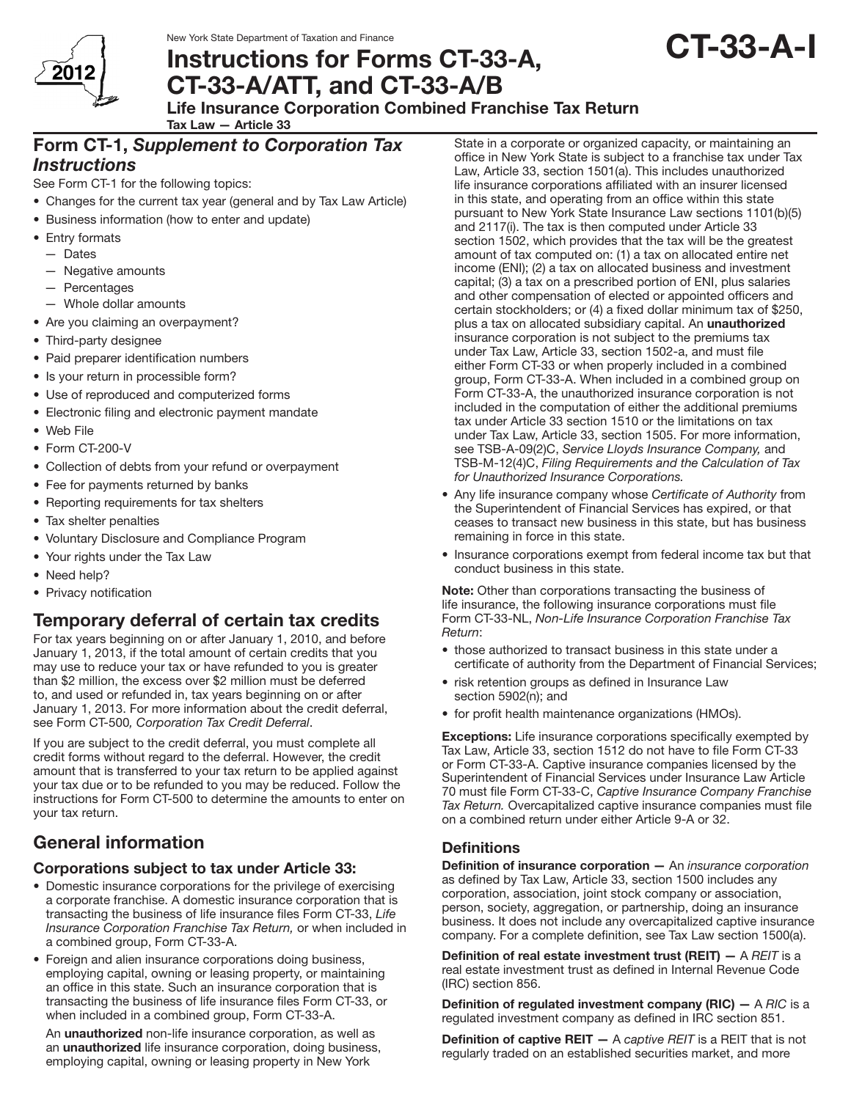

New York State Department of Taxation and Finance

# Instructions for Forms CT-33-A, CT-33-A/ATT, and CT-33-A/B

# Life Insurance Corporation Combined Franchise Tax Return

Tax Law — Article 33

# Form CT-1, *Supplement to Corporation Tax Instructions*

See Form CT-1 for the following topics:

- Changes for the current tax year (general and by Tax Law Article)
- Business information (how to enter and update)
- Entry formats
	- — Dates
	- Negative amounts
	- — Percentages
	- Whole dollar amounts
- Are you claiming an overpayment?
- Third-party designee
- Paid preparer identification numbers
- Is your return in processible form?
- Use of reproduced and computerized forms
- Electronic filing and electronic payment mandate
- Web File
- Form CT-200-V
- Collection of debts from your refund or overpayment
- Fee for payments returned by banks
- Reporting requirements for tax shelters
- Tax shelter penalties
- • Voluntary Disclosure and Compliance Program
- Your rights under the Tax Law
- Need help?
- Privacy notification

# Temporary deferral of certain tax credits

For tax years beginning on or after January 1, 2010, and before January 1, 2013, if the total amount of certain credits that you may use to reduce your tax or have refunded to you is greater than \$2 million, the excess over \$2 million must be deferred to, and used or refunded in, tax years beginning on or after January 1, 2013. For more information about the credit deferral, see Form CT-500*, Corporation Tax Credit Deferral*.

If you are subject to the credit deferral, you must complete all credit forms without regard to the deferral. However, the credit amount that is transferred to your tax return to be applied against your tax due or to be refunded to you may be reduced. Follow the instructions for Form CT-500 to determine the amounts to enter on your tax return.

# General information

# Corporations subject to tax under Article 33:

- Domestic insurance corporations for the privilege of exercising a corporate franchise. A domestic insurance corporation that is transacting the business of life insurance files Form CT-33, *Life Insurance Corporation Franchise Tax Return,* or when included in a combined group, Form CT-33-A.
- Foreign and alien insurance corporations doing business, employing capital, owning or leasing property, or maintaining an office in this state. Such an insurance corporation that is transacting the business of life insurance files Form CT-33, or when included in a combined group, Form CT-33-A.

An **unauthorized** non-life insurance corporation, as well as an **unauthorized** life insurance corporation, doing business, employing capital, owning or leasing property in New York

State in a corporate or organized capacity, or maintaining an office in New York State is subject to a franchise tax under Tax Law, Article 33, section 1501(a). This includes unauthorized life insurance corporations affiliated with an insurer licensed in this state, and operating from an office within this state pursuant to New York State Insurance Law sections 1101(b)(5) and 2117(i). The tax is then computed under Article 33 section 1502, which provides that the tax will be the greatest amount of tax computed on: (1) a tax on allocated entire net income (ENI); (2) a tax on allocated business and investment capital; (3) a tax on a prescribed portion of ENI, plus salaries and other compensation of elected or appointed officers and certain stockholders; or (4) a fixed dollar minimum tax of \$250, plus a tax on allocated subsidiary capital. An unauthorized insurance corporation is not subject to the premiums tax under Tax Law, Article 33, section 1502-a, and must file either Form CT-33 or when properly included in a combined group, Form CT-33-A. When included in a combined group on Form CT-33-A, the unauthorized insurance corporation is not included in the computation of either the additional premiums tax under Article 33 section 1510 or the limitations on tax under Tax Law, Article 33, section 1505. For more information, see TSB-A-09(2)C, *Service Lloyds Insurance Company,* and TSB-M-12(4)C, *Filing Requirements and the Calculation of Tax for Unauthorized Insurance Corporations.*

- • Any life insurance company whose *Certificate of Authority* from the Superintendent of Financial Services has expired, or that ceases to transact new business in this state, but has business remaining in force in this state.
- Insurance corporations exempt from federal income tax but that conduct business in this state.

Note: Other than corporations transacting the business of life insurance, the following insurance corporations must file Form CT-33-NL, *Non-Life Insurance Corporation Franchise Tax Return*:

- those authorized to transact business in this state under a certificate of authority from the Department of Financial Services;
- risk retention groups as defined in Insurance Law section 5902(n); and
- for profit health maintenance organizations (HMOs).

**Exceptions:** Life insurance corporations specifically exempted by Tax Law, Article 33, section 1512 do not have to file Form CT-33 or Form CT-33-A. Captive insurance companies licensed by the Superintendent of Financial Services under Insurance Law Article 70 must file Form CT-33-C, *Captive Insurance Company Franchise Tax Return.* Overcapitalized captive insurance companies must file on a combined return under either Article 9-A or 32.

# **Definitions**

Definition of insurance corporation — An *insurance corporation* as defined by Tax Law, Article 33, section 1500 includes any corporation, association, joint stock company or association, person, society, aggregation, or partnership, doing an insurance business. It does not include any overcapitalized captive insurance company. For a complete definition, see Tax Law section 1500(a).

Definition of real estate investment trust (REIT) — A *REIT* is a real estate investment trust as defined in Internal Revenue Code (IRC) section 856.

Definition of regulated investment company (RIC) — A *RIC* is a regulated investment company as defined in IRC section 851.

Definition of captive REIT — A *captive REIT* is a REIT that is not regularly traded on an established securities market, and more

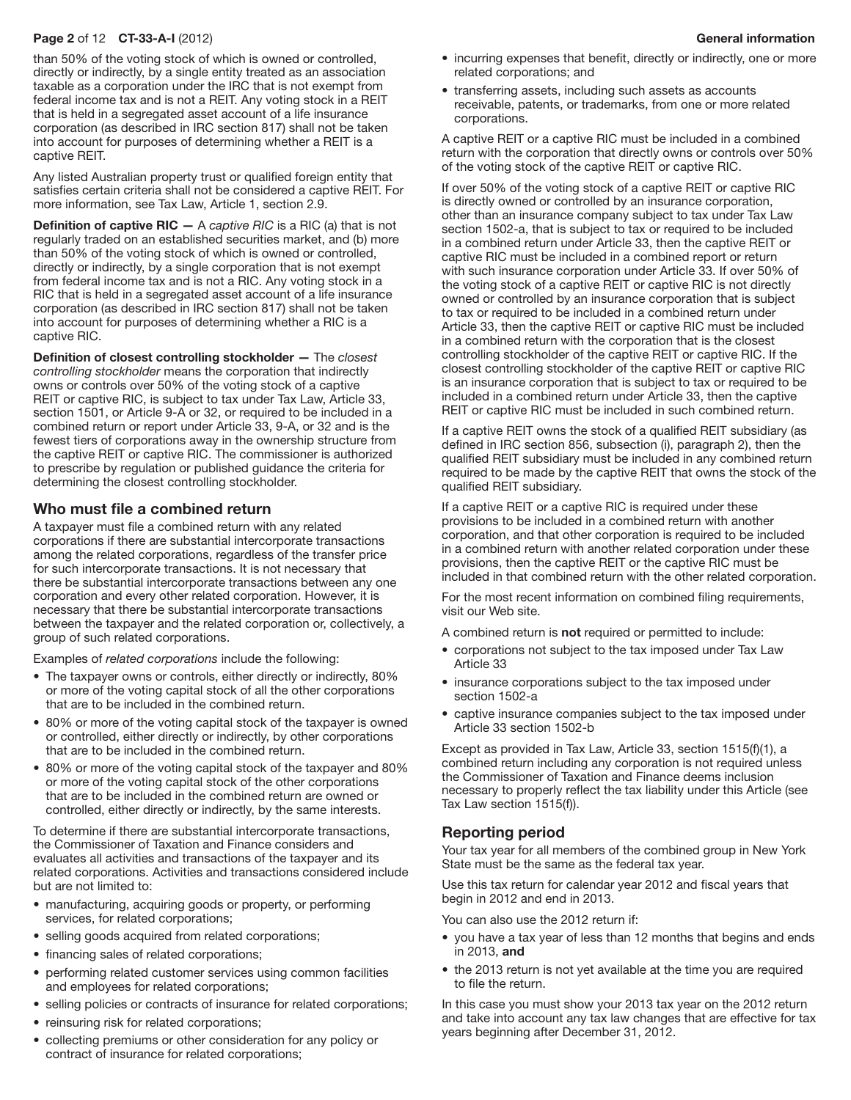#### Page 2 of 12 CT-33-A-I (2012) **General information General information**

than 50% of the voting stock of which is owned or controlled, directly or indirectly, by a single entity treated as an association taxable as a corporation under the IRC that is not exempt from federal income tax and is not a REIT. Any voting stock in a REIT that is held in a segregated asset account of a life insurance corporation (as described in IRC section 817) shall not be taken into account for purposes of determining whether a REIT is a captive REIT.

Any listed Australian property trust or qualified foreign entity that satisfies certain criteria shall not be considered a captive REIT. For more information, see Tax Law, Article 1, section 2.9.

Definition of captive RIC — A *captive RIC* is a RIC (a) that is not regularly traded on an established securities market, and (b) more than 50% of the voting stock of which is owned or controlled, directly or indirectly, by a single corporation that is not exempt from federal income tax and is not a RIC. Any voting stock in a RIC that is held in a segregated asset account of a life insurance corporation (as described in IRC section 817) shall not be taken into account for purposes of determining whether a RIC is a captive RIC.

Definition of closest controlling stockholder — The *closest controlling stockholder* means the corporation that indirectly owns or controls over 50% of the voting stock of a captive REIT or captive RIC, is subject to tax under Tax Law, Article 33, section 1501, or Article 9-A or 32, or required to be included in a combined return or report under Article 33, 9-A, or 32 and is the fewest tiers of corporations away in the ownership structure from the captive REIT or captive RIC. The commissioner is authorized to prescribe by regulation or published guidance the criteria for determining the closest controlling stockholder.

#### Who must file a combined return

A taxpayer must file a combined return with any related corporations if there are substantial intercorporate transactions among the related corporations, regardless of the transfer price for such intercorporate transactions. It is not necessary that there be substantial intercorporate transactions between any one corporation and every other related corporation. However, it is necessary that there be substantial intercorporate transactions between the taxpayer and the related corporation or, collectively, a group of such related corporations.

Examples of *related corporations* include the following:

- The taxpayer owns or controls, either directly or indirectly, 80% or more of the voting capital stock of all the other corporations that are to be included in the combined return.
- 80% or more of the voting capital stock of the taxpayer is owned or controlled, either directly or indirectly, by other corporations that are to be included in the combined return.
- 80% or more of the voting capital stock of the taxpayer and 80% or more of the voting capital stock of the other corporations that are to be included in the combined return are owned or controlled, either directly or indirectly, by the same interests.

To determine if there are substantial intercorporate transactions, the Commissioner of Taxation and Finance considers and evaluates all activities and transactions of the taxpayer and its related corporations. Activities and transactions considered include but are not limited to:

- manufacturing, acquiring goods or property, or performing services, for related corporations;
- selling goods acquired from related corporations;
- financing sales of related corporations;
- performing related customer services using common facilities and employees for related corporations;
- selling policies or contracts of insurance for related corporations;
- reinsuring risk for related corporations;
- collecting premiums or other consideration for any policy or contract of insurance for related corporations;
- incurring expenses that benefit, directly or indirectly, one or more related corporations; and
- transferring assets, including such assets as accounts receivable, patents, or trademarks, from one or more related corporations.

A captive REIT or a captive RIC must be included in a combined return with the corporation that directly owns or controls over 50% of the voting stock of the captive REIT or captive RIC.

If over 50% of the voting stock of a captive REIT or captive RIC is directly owned or controlled by an insurance corporation, other than an insurance company subject to tax under Tax Law section 1502-a, that is subject to tax or required to be included in a combined return under Article 33, then the captive REIT or captive RIC must be included in a combined report or return with such insurance corporation under Article 33. If over 50% of the voting stock of a captive REIT or captive RIC is not directly owned or controlled by an insurance corporation that is subject to tax or required to be included in a combined return under Article 33, then the captive REIT or captive RIC must be included in a combined return with the corporation that is the closest controlling stockholder of the captive REIT or captive RIC. If the closest controlling stockholder of the captive REIT or captive RIC is an insurance corporation that is subject to tax or required to be included in a combined return under Article 33, then the captive REIT or captive RIC must be included in such combined return.

If a captive REIT owns the stock of a qualified REIT subsidiary (as defined in IRC section 856, subsection (i), paragraph 2), then the qualified REIT subsidiary must be included in any combined return required to be made by the captive REIT that owns the stock of the qualified REIT subsidiary.

If a captive REIT or a captive RIC is required under these provisions to be included in a combined return with another corporation, and that other corporation is required to be included in a combined return with another related corporation under these provisions, then the captive REIT or the captive RIC must be included in that combined return with the other related corporation.

For the most recent information on combined filing requirements, visit our Web site.

A combined return is not required or permitted to include:

- corporations not subject to the tax imposed under Tax Law Article 33
- insurance corporations subject to the tax imposed under section 1502-a
- captive insurance companies subject to the tax imposed under Article 33 section 1502-b

Except as provided in Tax Law, Article 33, section 1515(f)(1), a combined return including any corporation is not required unless the Commissioner of Taxation and Finance deems inclusion necessary to properly reflect the tax liability under this Article (see Tax Law section 1515(f)).

## Reporting period

Your tax year for all members of the combined group in New York State must be the same as the federal tax year.

Use this tax return for calendar year 2012 and fiscal years that begin in 2012 and end in 2013.

You can also use the 2012 return if:

- you have a tax year of less than 12 months that begins and ends in 2013, and
- the 2013 return is not yet available at the time you are required to file the return.

In this case you must show your 2013 tax year on the 2012 return and take into account any tax law changes that are effective for tax years beginning after December 31, 2012.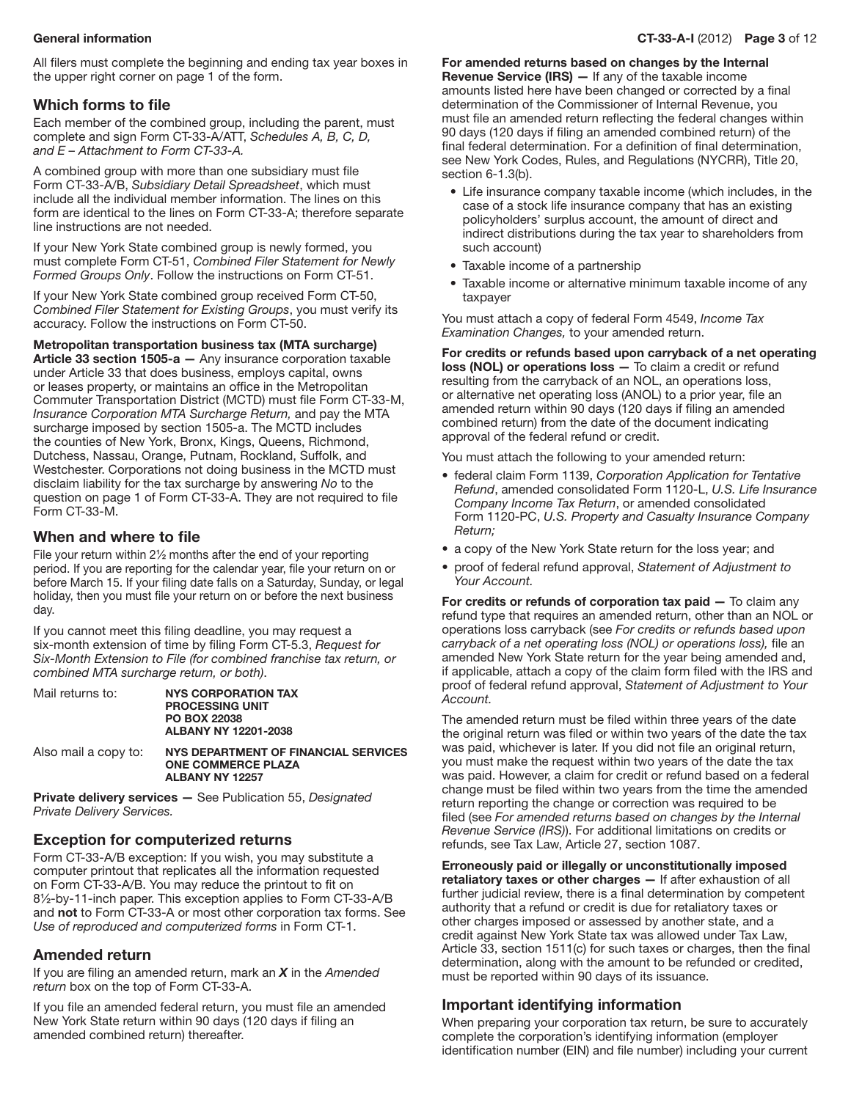All filers must complete the beginning and ending tax year boxes in the upper right corner on page 1 of the form.

## Which forms to file

Each member of the combined group, including the parent, must complete and sign Form CT-33-A/ATT, *Schedules A, B, C, D, and E – Attachment to Form CT-33-A.*

A combined group with more than one subsidiary must file Form CT-33-A/B, *Subsidiary Detail Spreadsheet*, which must include all the individual member information. The lines on this form are identical to the lines on Form CT-33-A; therefore separate line instructions are not needed.

If your New York State combined group is newly formed, you must complete Form CT-51, *Combined Filer Statement for Newly Formed Groups Only*. Follow the instructions on Form CT-51.

If your New York State combined group received Form CT-50, *Combined Filer Statement for Existing Groups*, you must verify its accuracy. Follow the instructions on Form CT-50.

Metropolitan transportation business tax (MTA surcharge)

Article 33 section 1505-a - Any insurance corporation taxable under Article 33 that does business, employs capital, owns or leases property, or maintains an office in the Metropolitan Commuter Transportation District (MCTD) must file Form CT-33-M, *Insurance Corporation MTA Surcharge Return,* and pay the MTA surcharge imposed by section 1505-a. The MCTD includes the counties of New York, Bronx, Kings, Queens, Richmond, Dutchess, Nassau, Orange, Putnam, Rockland, Suffolk, and Westchester. Corporations not doing business in the MCTD must disclaim liability for the tax surcharge by answering *No* to the question on page 1 of Form CT-33-A. They are not required to file Form CT-33-M.

#### When and where to file

File your return within 2½ months after the end of your reporting period. If you are reporting for the calendar year, file your return on or before March 15. If your filing date falls on a Saturday, Sunday, or legal holiday, then you must file your return on or before the next business day.

If you cannot meet this filing deadline, you may request a six-month extension of time by filing Form CT-5.3, *Request for Six-Month Extension to File (for combined franchise tax return, or combined MTA surcharge return, or both)*.

| Mail returns to:     | NYS CORPORATION TAX<br><b>PROCESSING UNIT</b><br><b>PO BOX 22038</b><br>ALBANY NY 12201-2038 |
|----------------------|----------------------------------------------------------------------------------------------|
| Also mail a copy to: | NYS DEPARTMENT OF FINANCIA                                                                   |

**AL SERVICES**  One Commerce Plaza Albany NY 12257

Private delivery services — See Publication 55, *Designated Private Delivery Services.*

## Exception for computerized returns

Form CT-33-A/B exception: If you wish, you may substitute a computer printout that replicates all the information requested on Form CT-33-A/B. You may reduce the printout to fit on 8½-by-11-inch paper. This exception applies to Form CT-33-A/B and not to Form CT-33-A or most other corporation tax forms. See *Use of reproduced and computerized forms* in Form CT-1.

## Amended return

If you are filing an amended return, mark an *X* in the *Amended return* box on the top of Form CT‑33‑A.

If you file an amended federal return, you must file an amended New York State return within 90 days (120 days if filing an amended combined return) thereafter.

For amended returns based on changes by the Internal

Revenue Service (IRS) — If any of the taxable income amounts listed here have been changed or corrected by a final determination of the Commissioner of Internal Revenue, you must file an amended return reflecting the federal changes within 90 days (120 days if filing an amended combined return) of the final federal determination. For a definition of final determination, see New York Codes, Rules, and Regulations (NYCRR), Title 20, section 6-1.3(b).

- Life insurance company taxable income (which includes, in the case of a stock life insurance company that has an existing policyholders' surplus account, the amount of direct and indirect distributions during the tax year to shareholders from such account)
- Taxable income of a partnership
- Taxable income or alternative minimum taxable income of any taxpayer

You must attach a copy of federal Form 4549, *Income Tax Examination Changes,* to your amended return.

For credits or refunds based upon carryback of a net operating loss (NOL) or operations loss - To claim a credit or refund resulting from the carryback of an NOL, an operations loss, or alternative net operating loss (ANOL) to a prior year, file an amended return within 90 days (120 days if filing an amended combined return) from the date of the document indicating approval of the federal refund or credit.

You must attach the following to your amended return:

- • federal claim Form 1139, *Corporation Application for Tentative Refund*, amended consolidated Form 1120-L, *U.S. Life Insurance Company Income Tax Return*, or amended consolidated Form 1120-PC, *U.S. Property and Casualty Insurance Company Return;*
- a copy of the New York State return for the loss year; and
- • proof of federal refund approval, *Statement of Adjustment to Your Account.*

For credits or refunds of corporation  $tax$  paid  $-$  To claim any refund type that requires an amended return, other than an NOL or operations loss carryback (see *For credits or refunds based upon carryback of a net operating loss (NOL) or operations loss),* file an amended New York State return for the year being amended and, if applicable, attach a copy of the claim form filed with the IRS and proof of federal refund approval, *Statement of Adjustment to Your Account.*

The amended return must be filed within three years of the date the original return was filed or within two years of the date the tax was paid, whichever is later. If you did not file an original return, you must make the request within two years of the date the tax was paid. However, a claim for credit or refund based on a federal change must be filed within two years from the time the amended return reporting the change or correction was required to be filed (see *For amended returns based on changes by the Internal Revenue Service (IRS)*). For additional limitations on credits or refunds, see Tax Law, Article 27, section 1087.

Erroneously paid or illegally or unconstitutionally imposed retaliatory taxes or other charges - If after exhaustion of all further judicial review, there is a final determination by competent authority that a refund or credit is due for retaliatory taxes or other charges imposed or assessed by another state, and a credit against New York State tax was allowed under Tax Law, Article 33, section 1511(c) for such taxes or charges, then the final determination, along with the amount to be refunded or credited, must be reported within 90 days of its issuance.

## Important identifying information

When preparing your corporation tax return, be sure to accurately complete the corporation's identifying information (employer identification number (EIN) and file number) including your current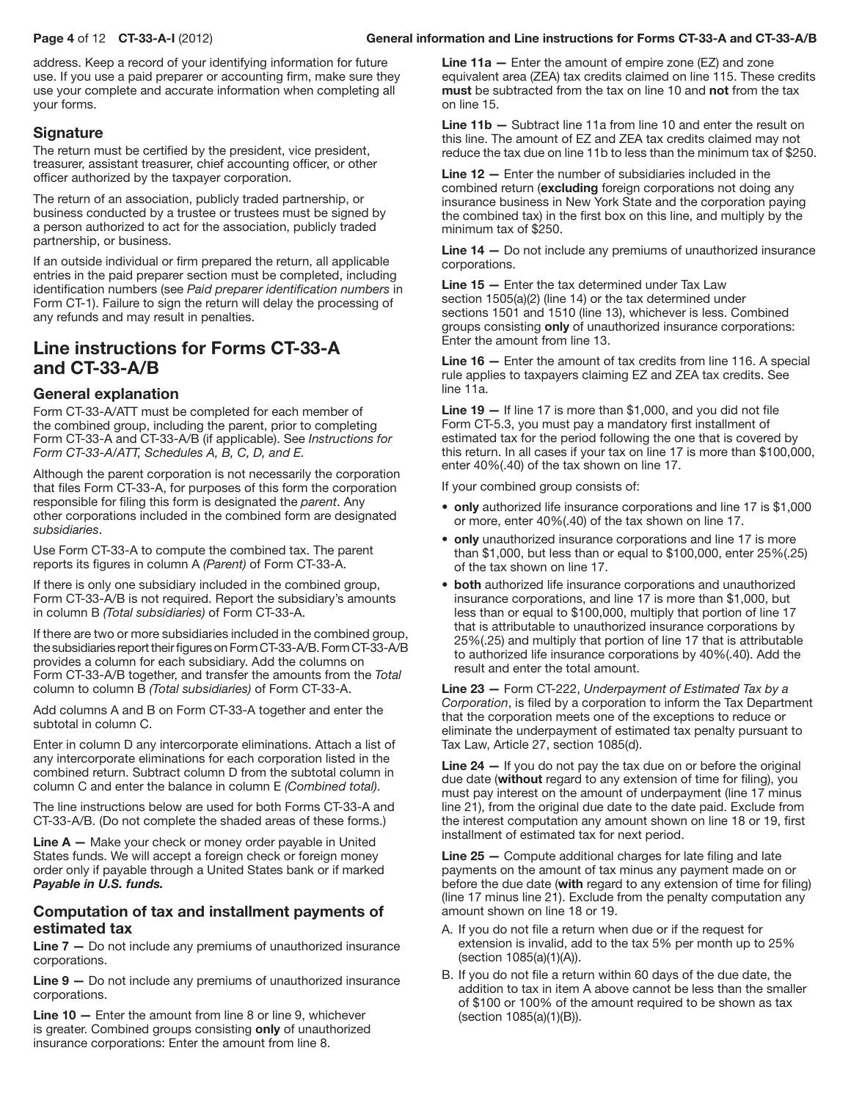address. Keep a record of your identifying information for future use. If you use a paid preparer or accounting firm, make sure they use your complete and accurate information when completing all your forms.

# **Signature**

The return must be certified by the president, vice president, treasurer, assistant treasurer, chief accounting officer, or other officer authorized by the taxpayer corporation.

The return of an association, publicly traded partnership, or business conducted by a trustee or trustees must be signed by a person authorized to act for the association, publicly traded partnership, or business.

If an outside individual or firm prepared the return, all applicable entries in the paid preparer section must be completed, including identification numbers (see *Paid preparer identification numbers* in Form CT-1). Failure to sign the return will delay the processing of any refunds and may result in penalties.

# Line instructions for Forms CT-33-A and CT-33-A/B

# General explanation

Form CT-33-A/ATT must be completed for each member of the combined group, including the parent, prior to completing Form CT-33-A and CT-33-A/B (if applicable). See *Instructions for Form CT-33-A/ATT, Schedules A, B, C, D, and E.*

Although the parent corporation is not necessarily the corporation that files Form CT-33-A, for purposes of this form the corporation responsible for filing this form is designated the *parent*. Any other corporations included in the combined form are designated *subsidiaries*.

Use Form CT-33-A to compute the combined tax. The parent reports its figures in column A *(Parent)* of Form CT-33-A.

If there is only one subsidiary included in the combined group, Form CT-33-A/B is not required. Report the subsidiary's amounts in column B *(Total subsidiaries)* of Form CT-33-A.

If there are two or more subsidiaries included in the combined group, the subsidiaries report their figures on Form CT-33-A/B. Form CT-33-A/B provides a column for each subsidiary. Add the columns on Form CT-33-A/B together, and transfer the amounts from the *Total*  column to column B *(Total subsidiaries)* of Form CT-33-A.

Add columns A and B on Form CT-33-A together and enter the subtotal in column C.

Enter in column D any intercorporate eliminations. Attach a list of any intercorporate eliminations for each corporation listed in the combined return. Subtract column D from the subtotal column in column C and enter the balance in column E *(Combined total)*.

The line instructions below are used for both Forms CT-33-A and CT-33-A/B. (Do not complete the shaded areas of these forms.)

Line A – Make your check or money order payable in United States funds. We will accept a foreign check or foreign money order only if payable through a United States bank or if marked *Payable in U.S. funds.*

## Computation of tax and installment payments of estimated tax

Line 7 - Do not include any premiums of unauthorized insurance corporations.

Line 9 — Do not include any premiums of unauthorized insurance corporations.

Line 10 — Enter the amount from line 8 or line 9, whichever is greater. Combined groups consisting only of unauthorized insurance corporations: Enter the amount from line 8.

Line 11a - Enter the amount of empire zone (EZ) and zone equivalent area (ZEA) tax credits claimed on line 115. These credits must be subtracted from the tax on line 10 and not from the tax on line 15.

Line 11b — Subtract line 11a from line 10 and enter the result on this line. The amount of EZ and ZEA tax credits claimed may not reduce the tax due on line 11b to less than the minimum tax of \$250.

Line 12 — Enter the number of subsidiaries included in the combined return (excluding foreign corporations not doing any insurance business in New York State and the corporation paying the combined tax) in the first box on this line, and multiply by the minimum tax of \$250.

Line 14 — Do not include any premiums of unauthorized insurance corporations.

Line 15 — Enter the tax determined under Tax Law section 1505(a)(2) (line 14) or the tax determined under sections 1501 and 1510 (line 13), whichever is less. Combined groups consisting only of unauthorized insurance corporations: Enter the amount from line 13.

Line 16 — Enter the amount of tax credits from line 116. A special rule applies to taxpayers claiming EZ and ZEA tax credits. See line 11a.

Line 19 — If line 17 is more than \$1,000, and you did not file Form CT-5.3, you must pay a mandatory first installment of estimated tax for the period following the one that is covered by this return. In all cases if your tax on line 17 is more than \$100,000, enter 40%(.40) of the tax shown on line 17.

If your combined group consists of:

- only authorized life insurance corporations and line 17 is \$1,000 or more, enter 40%(.40) of the tax shown on line 17.
- only unauthorized insurance corporations and line 17 is more than \$1,000, but less than or equal to \$100,000, enter 25%(.25) of the tax shown on line 17.
- both authorized life insurance corporations and unauthorized insurance corporations, and line 17 is more than \$1,000, but less than or equal to \$100,000, multiply that portion of line 17 that is attributable to unauthorized insurance corporations by 25%(.25) and multiply that portion of line 17 that is attributable to authorized life insurance corporations by 40%(.40). Add the result and enter the total amount.

Line 23 — Form CT-222, *Underpayment of Estimated Tax by a Corporation*, is filed by a corporation to inform the Tax Department that the corporation meets one of the exceptions to reduce or eliminate the underpayment of estimated tax penalty pursuant to Tax Law, Article 27, section 1085(d).

Line 24 – If you do not pay the tax due on or before the original due date (without regard to any extension of time for filing), you must pay interest on the amount of underpayment (line 17 minus line 21), from the original due date to the date paid. Exclude from the interest computation any amount shown on line 18 or 19, first installment of estimated tax for next period.

Line 25 — Compute additional charges for late filing and late payments on the amount of tax minus any payment made on or before the due date (with regard to any extension of time for filing) (line 17 minus line 21). Exclude from the penalty computation any amount shown on line 18 or 19.

- A. If you do not file a return when due or if the request for extension is invalid, add to the tax 5% per month up to 25% (section 1085(a)(1)(A)).
- B. If you do not file a return within 60 days of the due date, the addition to tax in item A above cannot be less than the smaller of \$100 or 100% of the amount required to be shown as tax (section 1085(a)(1)(B)).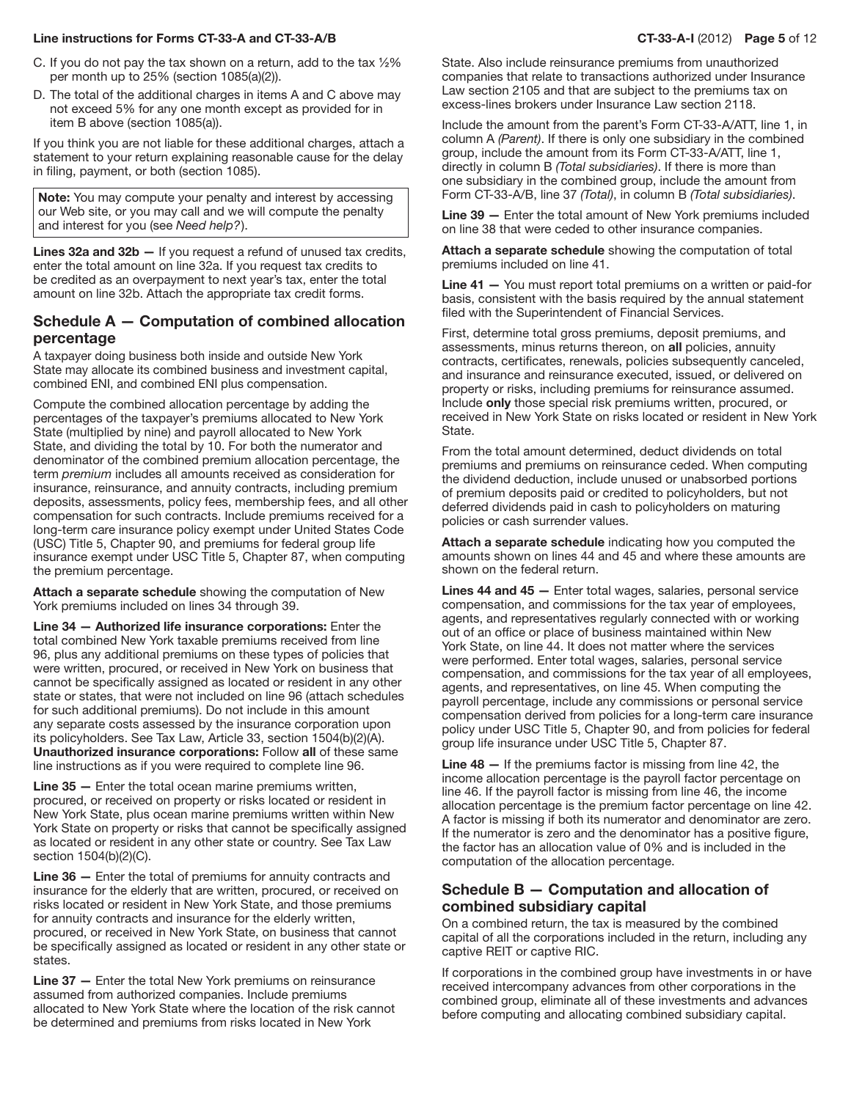#### Line instructions for Forms CT-33-A and CT-33-A/B CT-33-A and CT-33-A-I (2012) Page 5 of 12

- C. If you do not pay the tax shown on a return, add to the tax  $\frac{1}{2}\%$ per month up to 25% (section 1085(a)(2)).
- D. The total of the additional charges in items A and C above may not exceed 5% for any one month except as provided for in item B above (section 1085(a)).

If you think you are not liable for these additional charges, attach a statement to your return explaining reasonable cause for the delay in filing, payment, or both (section 1085).

Note: You may compute your penalty and interest by accessing our Web site, or you may call and we will compute the penalty and interest for you (see *Need help?*).

Lines 32a and 32b - If you request a refund of unused tax credits, enter the total amount on line 32a. If you request tax credits to be credited as an overpayment to next year's tax, enter the total amount on line 32b. Attach the appropriate tax credit forms.

## Schedule A — Computation of combined allocation percentage

A taxpayer doing business both inside and outside New York State may allocate its combined business and investment capital, combined ENI, and combined ENI plus compensation.

Compute the combined allocation percentage by adding the percentages of the taxpayer's premiums allocated to New York State (multiplied by nine) and payroll allocated to New York State, and dividing the total by 10. For both the numerator and denominator of the combined premium allocation percentage, the term *premium* includes all amounts received as consideration for insurance, reinsurance, and annuity contracts, including premium deposits, assessments, policy fees, membership fees, and all other compensation for such contracts. Include premiums received for a long‑term care insurance policy exempt under United States Code (USC) Title 5, Chapter 90, and premiums for federal group life insurance exempt under USC Title 5, Chapter 87, when computing the premium percentage.

Attach a separate schedule showing the computation of New York premiums included on lines 34 through 39.

Line 34 — Authorized life insurance corporations: Enter the total combined New York taxable premiums received from line 96, plus any additional premiums on these types of policies that were written, procured, or received in New York on business that cannot be specifically assigned as located or resident in any other state or states, that were not included on line 96 (attach schedules for such additional premiums). Do not include in this amount any separate costs assessed by the insurance corporation upon its policyholders. See Tax Law, Article 33, section 1504(b)(2)(A). Unauthorized insurance corporations: Follow all of these same line instructions as if you were required to complete line 96.

Line 35 — Enter the total ocean marine premiums written, procured, or received on property or risks located or resident in New York State, plus ocean marine premiums written within New York State on property or risks that cannot be specifically assigned as located or resident in any other state or country. See Tax Law section 1504(b)(2)(C).

Line 36 — Enter the total of premiums for annuity contracts and insurance for the elderly that are written, procured, or received on risks located or resident in New York State, and those premiums for annuity contracts and insurance for the elderly written, procured, or received in New York State, on business that cannot be specifically assigned as located or resident in any other state or states.

Line 37 — Enter the total New York premiums on reinsurance assumed from authorized companies. Include premiums allocated to New York State where the location of the risk cannot be determined and premiums from risks located in New York

State. Also include reinsurance premiums from unauthorized companies that relate to transactions authorized under Insurance Law section 2105 and that are subject to the premiums tax on excess-lines brokers under Insurance Law section 2118.

Include the amount from the parent's Form CT-33-A/ATT, line 1, in column A *(Parent)*. If there is only one subsidiary in the combined group, include the amount from its Form CT-33-A/ATT, line 1, directly in column B *(Total subsidiaries)*. If there is more than one subsidiary in the combined group, include the amount from Form CT-33-A/B, line 37 *(Total)*, in column B *(Total subsidiaries)*.

Line 39 — Enter the total amount of New York premiums included on line 38 that were ceded to other insurance companies.

Attach a separate schedule showing the computation of total premiums included on line 41.

Line 41 – You must report total premiums on a written or paid-for basis, consistent with the basis required by the annual statement filed with the Superintendent of Financial Services.

First, determine total gross premiums, deposit premiums, and assessments, minus returns thereon, on all policies, annuity contracts, certificates, renewals, policies subsequently canceled, and insurance and reinsurance executed, issued, or delivered on property or risks, including premiums for reinsurance assumed. Include only those special risk premiums written, procured, or received in New York State on risks located or resident in New York State.

From the total amount determined, deduct dividends on total premiums and premiums on reinsurance ceded. When computing the dividend deduction, include unused or unabsorbed portions of premium deposits paid or credited to policyholders, but not deferred dividends paid in cash to policyholders on maturing policies or cash surrender values.

Attach a separate schedule indicating how you computed the amounts shown on lines 44 and 45 and where these amounts are shown on the federal return.

Lines 44 and 45 - Enter total wages, salaries, personal service compensation, and commissions for the tax year of employees, agents, and representatives regularly connected with or working out of an office or place of business maintained within New York State, on line 44. It does not matter where the services were performed. Enter total wages, salaries, personal service compensation, and commissions for the tax year of all employees, agents, and representatives, on line 45. When computing the payroll percentage, include any commissions or personal service compensation derived from policies for a long-term care insurance policy under USC Title 5, Chapter 90, and from policies for federal group life insurance under USC Title 5, Chapter 87.

Line 48 - If the premiums factor is missing from line 42, the income allocation percentage is the payroll factor percentage on line 46. If the payroll factor is missing from line 46, the income allocation percentage is the premium factor percentage on line 42. A factor is missing if both its numerator and denominator are zero. If the numerator is zero and the denominator has a positive figure, the factor has an allocation value of 0% and is included in the computation of the allocation percentage.

## Schedule B — Computation and allocation of combined subsidiary capital

On a combined return, the tax is measured by the combined capital of all the corporations included in the return, including any captive REIT or captive RIC.

If corporations in the combined group have investments in or have received intercompany advances from other corporations in the combined group, eliminate all of these investments and advances before computing and allocating combined subsidiary capital.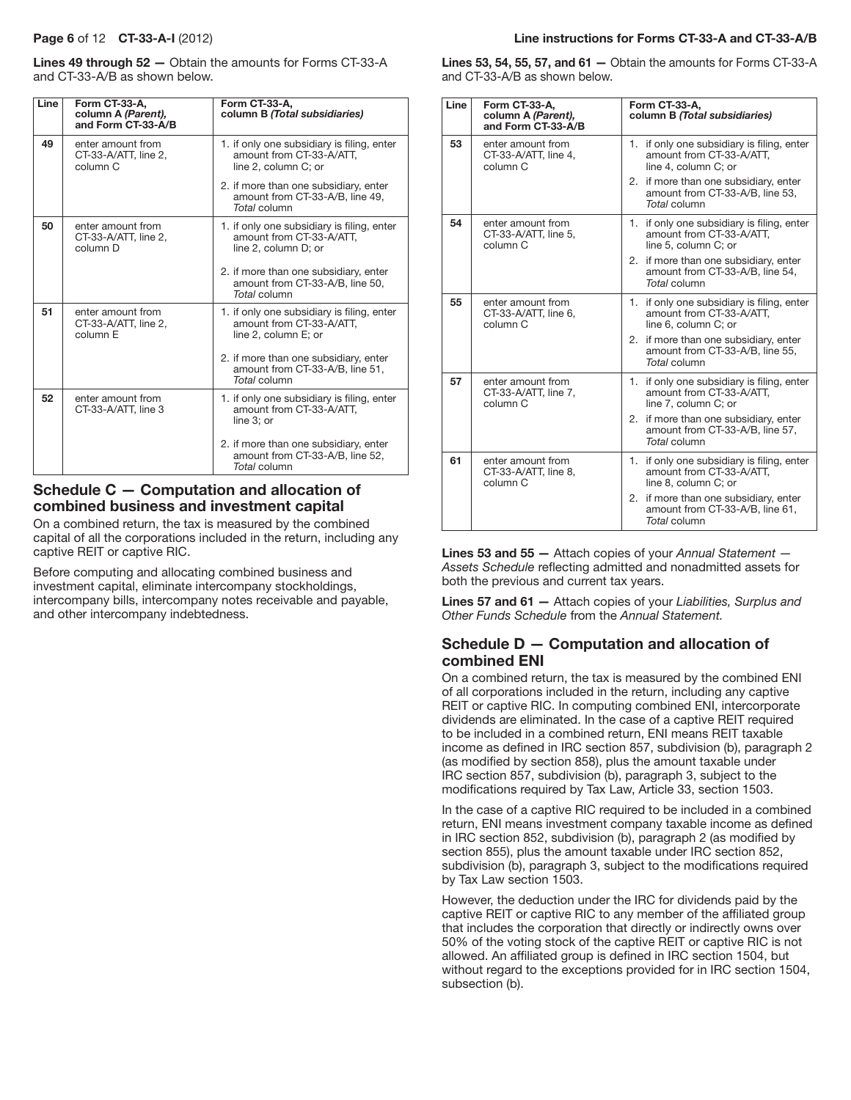Lines 49 through 52 — Obtain the amounts for Forms CT-33-A and CT-33-A/B as shown below.

| Line | Form CT-33-A,<br>column A (Parent),<br>and Form CT-33-A/B        | Form CT-33-A,<br>column B (Total subsidiaries)                                                 |
|------|------------------------------------------------------------------|------------------------------------------------------------------------------------------------|
| 49   | enter amount from<br>CT-33-A/ATT, line 2,<br>column <sub>C</sub> | 1. if only one subsidiary is filing, enter<br>amount from CT-33-A/ATT,<br>line 2, column C; or |
|      |                                                                  | 2. if more than one subsidiary, enter<br>amount from CT-33-A/B, line 49,<br>Total column       |
| 50   | enter amount from<br>CT-33-A/ATT, line 2,<br>column D            | 1. if only one subsidiary is filing, enter<br>amount from CT-33-A/ATT,<br>line 2, column D; or |
|      |                                                                  | 2. if more than one subsidiary, enter<br>amount from CT-33-A/B, line 50,<br>Total column       |
| 51   | enter amount from<br>CT-33-A/ATT, line 2,<br>column <sub>F</sub> | 1. if only one subsidiary is filing, enter<br>amount from CT-33-A/ATT.<br>line 2, column E; or |
|      |                                                                  | 2. if more than one subsidiary, enter<br>amount from CT-33-A/B, line 51,<br>Total column       |
| 52   | enter amount from<br>CT-33-A/ATT, line 3                         | 1. if only one subsidiary is filing, enter<br>amount from CT-33-A/ATT.<br>line 3: or           |
|      |                                                                  | 2. if more than one subsidiary, enter<br>amount from CT-33-A/B, line 52,<br>Total column       |

# Schedule C — Computation and allocation of combined business and investment capital

On a combined return, the tax is measured by the combined capital of all the corporations included in the return, including any captive REIT or captive RIC.

Before computing and allocating combined business and investment capital, eliminate intercompany stockholdings, intercompany bills, intercompany notes receivable and payable, and other intercompany indebtedness.

#### Page 6 of 12 CT-33-A-I (2012) Line instructions for Forms CT-33-A and CT-33-A/B

Lines 53, 54, 55, 57, and 61 — Obtain the amounts for Forms CT-33-A and CT-33-A/B as shown below.

| Line | Form CT-33-A,<br>column A (Parent),<br>and Form CT-33-A/B        | Form CT-33-A,<br>column B (Total subsidiaries)                                                    |
|------|------------------------------------------------------------------|---------------------------------------------------------------------------------------------------|
| 53   | enter amount from<br>CT-33-A/ATT, line 4,<br>column C            | 1. if only one subsidiary is filing, enter<br>amount from CT-33-A/ATT.<br>line 4. column C: or    |
|      |                                                                  | 2. if more than one subsidiary, enter<br>amount from CT-33-A/B, line 53,<br>Total column          |
| 54   | enter amount from<br>CT-33-A/ATT, line 5,<br>column C            | 1. If only one subsidiary is filing, enter<br>amount from CT-33-A/ATT,<br>line 5, column C; or    |
|      |                                                                  | 2. if more than one subsidiary, enter<br>amount from CT-33-A/B, line 54,<br>Total column          |
| 55   | enter amount from<br>CT-33-A/ATT, line 6,<br>column C            | if only one subsidiary is filing, enter<br>1.<br>amount from CT-33-A/ATT,<br>line 6, column C; or |
|      |                                                                  | 2. if more than one subsidiary, enter<br>amount from CT-33-A/B, line 55,<br>Total column          |
| 57   | enter amount from<br>CT-33-A/ATT, line 7,<br>column <sub>C</sub> | 1. if only one subsidiary is filing, enter<br>amount from CT-33-A/ATT,<br>line 7, column C; or    |
|      |                                                                  | 2. if more than one subsidiary, enter<br>amount from CT-33-A/B, line 57,<br>Total column          |
| 61   | enter amount from<br>CT-33-A/ATT, line 8,<br>column C            | 1. If only one subsidiary is filing, enter<br>amount from CT-33-A/ATT.<br>line 8, column C; or    |
|      |                                                                  | 2. if more than one subsidiary, enter<br>amount from CT-33-A/B, line 61,<br>Total column          |

Lines 53 and 55 — Attach copies of your *Annual Statement — Assets Schedule* reflecting admitted and nonadmitted assets for both the previous and current tax years.

Lines 57 and 61 — Attach copies of your *Liabilities, Surplus and Other Funds Schedule* from the *Annual Statement.*

## Schedule D — Computation and allocation of combined ENI

On a combined return, the tax is measured by the combined ENI of all corporations included in the return, including any captive REIT or captive RIC. In computing combined ENI, intercorporate dividends are eliminated. In the case of a captive REIT required to be included in a combined return, ENI means REIT taxable income as defined in IRC section 857, subdivision (b), paragraph 2 (as modified by section 858), plus the amount taxable under IRC section 857, subdivision (b), paragraph 3, subject to the modifications required by Tax Law, Article 33, section 1503.

In the case of a captive RIC required to be included in a combined return, ENI means investment company taxable income as defined in IRC section 852, subdivision (b), paragraph 2 (as modified by section 855), plus the amount taxable under IRC section 852, subdivision (b), paragraph 3, subject to the modifications required by Tax Law section 1503.

However, the deduction under the IRC for dividends paid by the captive REIT or captive RIC to any member of the affiliated group that includes the corporation that directly or indirectly owns over 50% of the voting stock of the captive REIT or captive RIC is not allowed. An affiliated group is defined in IRC section 1504, but without regard to the exceptions provided for in IRC section 1504, subsection (b).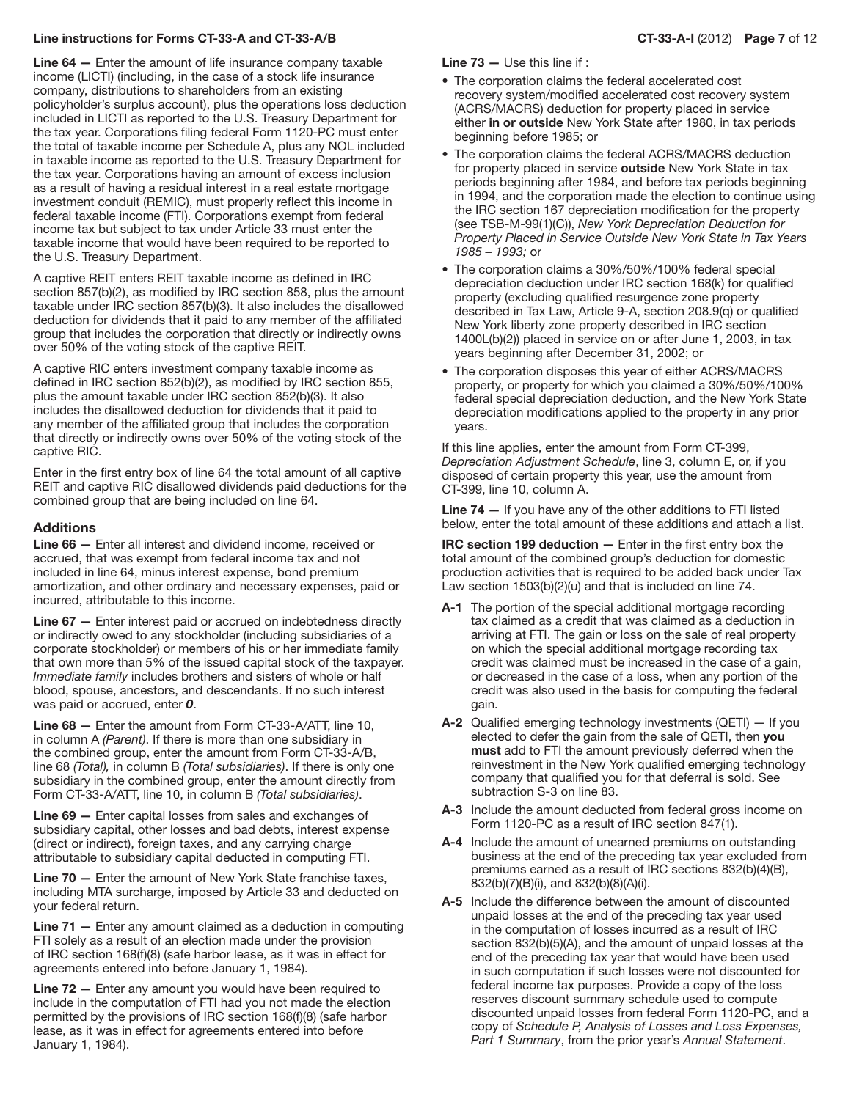#### Line instructions for Forms CT-33-A and CT-33-A/B CT-33-A-I (2012) Page 7 of 12

Line 64 — Enter the amount of life insurance company taxable income (LICTI) (including, in the case of a stock life insurance company, distributions to shareholders from an existing policyholder's surplus account), plus the operations loss deduction included in LICTI as reported to the U.S. Treasury Department for the tax year. Corporations filing federal Form 1120-PC must enter the total of taxable income per Schedule A, plus any NOL included in taxable income as reported to the U.S. Treasury Department for the tax year. Corporations having an amount of excess inclusion as a result of having a residual interest in a real estate mortgage investment conduit (REMIC), must properly reflect this income in federal taxable income (FTI). Corporations exempt from federal income tax but subject to tax under Article 33 must enter the taxable income that would have been required to be reported to the U.S. Treasury Department.

A captive REIT enters REIT taxable income as defined in IRC section 857(b)(2), as modified by IRC section 858, plus the amount taxable under IRC section 857(b)(3). It also includes the disallowed deduction for dividends that it paid to any member of the affiliated group that includes the corporation that directly or indirectly owns over 50% of the voting stock of the captive REIT.

A captive RIC enters investment company taxable income as defined in IRC section 852(b)(2), as modified by IRC section 855, plus the amount taxable under IRC section 852(b)(3). It also includes the disallowed deduction for dividends that it paid to any member of the affiliated group that includes the corporation that directly or indirectly owns over 50% of the voting stock of the captive RIC.

Enter in the first entry box of line 64 the total amount of all captive REIT and captive RIC disallowed dividends paid deductions for the combined group that are being included on line 64.

#### Additions

Line 66 — Enter all interest and dividend income, received or accrued, that was exempt from federal income tax and not included in line 64, minus interest expense, bond premium amortization, and other ordinary and necessary expenses, paid or incurred, attributable to this income.

Line 67 — Enter interest paid or accrued on indebtedness directly or indirectly owed to any stockholder (including subsidiaries of a corporate stockholder) or members of his or her immediate family that own more than 5% of the issued capital stock of the taxpayer. *Immediate family* includes brothers and sisters of whole or half blood, spouse, ancestors, and descendants. If no such interest was paid or accrued, enter *0*.

Line 68 — Enter the amount from Form CT-33-A/ATT, line 10, in column A *(Parent)*. If there is more than one subsidiary in the combined group, enter the amount from Form CT-33-A/B, line 68 *(Total),* in column B *(Total subsidiaries)*. If there is only one subsidiary in the combined group, enter the amount directly from Form CT‑33‑A/ATT, line 10, in column B *(Total subsidiaries)*.

Line 69 — Enter capital losses from sales and exchanges of subsidiary capital, other losses and bad debts, interest expense (direct or indirect), foreign taxes, and any carrying charge attributable to subsidiary capital deducted in computing FTI.

Line 70 — Enter the amount of New York State franchise taxes, including MTA surcharge, imposed by Article 33 and deducted on your federal return.

**Line 71**  $-$  Enter any amount claimed as a deduction in computing FTI solely as a result of an election made under the provision of IRC section 168(f)(8) (safe harbor lease, as it was in effect for agreements entered into before January 1, 1984).

Line 72 – Enter any amount you would have been required to include in the computation of FTI had you not made the election permitted by the provisions of IRC section 168(f)(8) (safe harbor lease, as it was in effect for agreements entered into before January 1, 1984).

Line 73 — Use this line if :

- The corporation claims the federal accelerated cost recovery system/modified accelerated cost recovery system (ACRS/MACRS) deduction for property placed in service either in or outside New York State after 1980, in tax periods beginning before 1985; or
- The corporation claims the federal ACRS/MACRS deduction for property placed in service outside New York State in tax periods beginning after 1984, and before tax periods beginning in 1994, and the corporation made the election to continue using the IRC section 167 depreciation modification for the property (see TSB‑M‑99(1)(C)), *New York Depreciation Deduction for Property Placed in Service Outside New York State in Tax Years 1985 – 1993;* or
- The corporation claims a 30%/50%/100% federal special depreciation deduction under IRC section 168(k) for qualified property (excluding qualified resurgence zone property described in Tax Law, Article 9-A, section 208.9(q) or qualified New York liberty zone property described in IRC section 1400L(b)(2)) placed in service on or after June 1, 2003, in tax years beginning after December 31, 2002; or
- The corporation disposes this year of either ACRS/MACRS property, or property for which you claimed a 30%/50%/100% federal special depreciation deduction, and the New York State depreciation modifications applied to the property in any prior years.

If this line applies, enter the amount from Form CT‑399, *Depreciation Adjustment Schedule*, line 3, column E, or, if you disposed of certain property this year, use the amount from CT‑399, line 10, column A.

Line 74 – If you have any of the other additions to FTI listed below, enter the total amount of these additions and attach a list.

IRC section 199 deduction — Enter in the first entry box the total amount of the combined group's deduction for domestic production activities that is required to be added back under Tax Law section 1503(b)(2)(u) and that is included on line 74.

- A-1 The portion of the special additional mortgage recording tax claimed as a credit that was claimed as a deduction in arriving at FTI. The gain or loss on the sale of real property on which the special additional mortgage recording tax credit was claimed must be increased in the case of a gain, or decreased in the case of a loss, when any portion of the credit was also used in the basis for computing the federal gain.
- **A-2** Qualified emerging technology investments (QETI)  $-$  If you elected to defer the gain from the sale of QETI, then you must add to FTI the amount previously deferred when the reinvestment in the New York qualified emerging technology company that qualified you for that deferral is sold. See subtraction S-3 on line 83.
- A-3 Include the amount deducted from federal gross income on Form 1120-PC as a result of IRC section 847(1).
- A-4 Include the amount of unearned premiums on outstanding business at the end of the preceding tax year excluded from premiums earned as a result of IRC sections 832(b)(4)(B), 832(b)(7)(B)(i), and 832(b)(8)(A)(i).
- A-5 Include the difference between the amount of discounted unpaid losses at the end of the preceding tax year used in the computation of losses incurred as a result of IRC section 832(b)(5)(A), and the amount of unpaid losses at the end of the preceding tax year that would have been used in such computation if such losses were not discounted for federal income tax purposes. Provide a copy of the loss reserves discount summary schedule used to compute discounted unpaid losses from federal Form 1120-PC, and a copy of *Schedule P, Analysis of Losses and Loss Expenses, Part 1 Summary*, from the prior year's *Annual Statement*.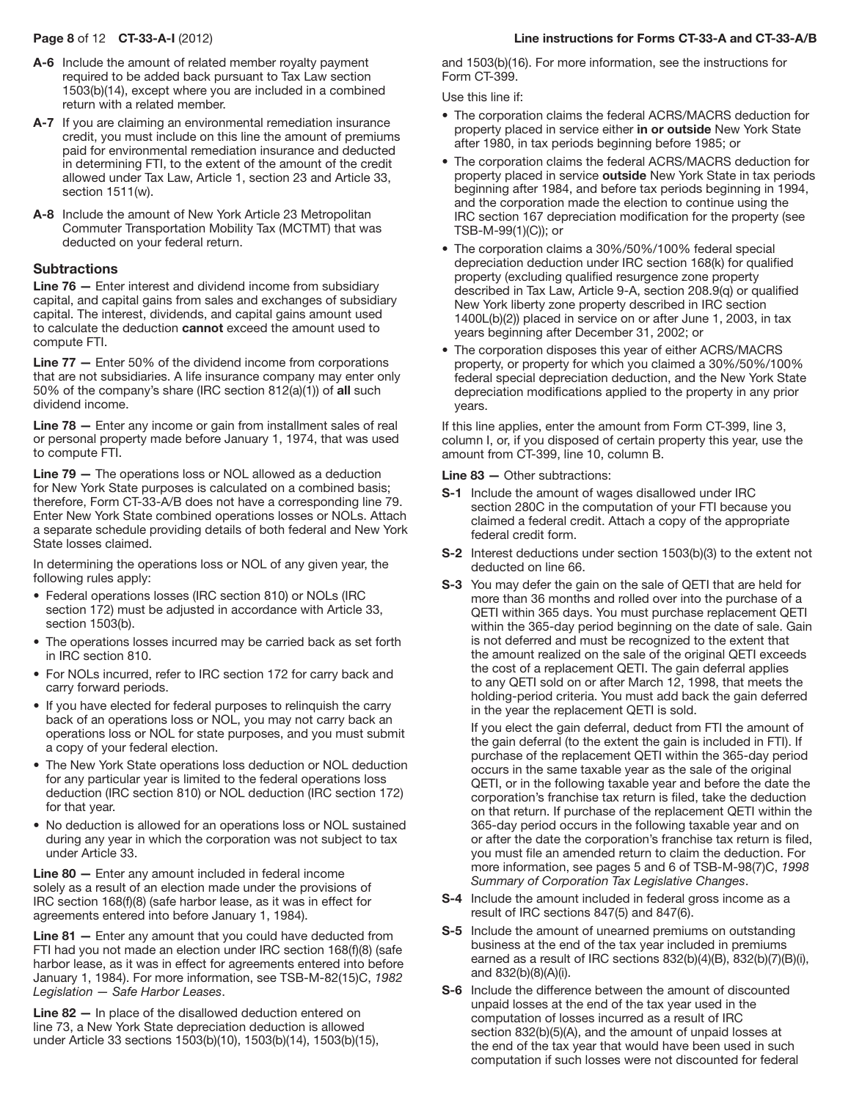- A-6 Include the amount of related member royalty payment required to be added back pursuant to Tax Law section 1503(b)(14), except where you are included in a combined return with a related member.
- A-7 If you are claiming an environmental remediation insurance credit, you must include on this line the amount of premiums paid for environmental remediation insurance and deducted in determining FTI, to the extent of the amount of the credit allowed under Tax Law, Article 1, section 23 and Article 33, section 1511(w).
- A-8 Include the amount of New York Article 23 Metropolitan Commuter Transportation Mobility Tax (MCTMT) that was deducted on your federal return.

#### **Subtractions**

Line 76 — Enter interest and dividend income from subsidiary capital, and capital gains from sales and exchanges of subsidiary capital. The interest, dividends, and capital gains amount used to calculate the deduction cannot exceed the amount used to compute FTI.

Line 77 — Enter 50% of the dividend income from corporations that are not subsidiaries. A life insurance company may enter only 50% of the company's share (IRC section 812(a)(1)) of all such dividend income.

Line 78 – Enter any income or gain from installment sales of real or personal property made before January 1, 1974, that was used to compute FTI.

Line 79 — The operations loss or NOL allowed as a deduction for New York State purposes is calculated on a combined basis; therefore, Form CT-33-A/B does not have a corresponding line 79. Enter New York State combined operations losses or NOLs. Attach a separate schedule providing details of both federal and New York State losses claimed.

In determining the operations loss or NOL of any given year, the following rules apply:

- Federal operations losses (IRC section 810) or NOLs (IRC section 172) must be adjusted in accordance with Article 33, section 1503(b).
- The operations losses incurred may be carried back as set forth in IRC section 810.
- For NOLs incurred, refer to IRC section 172 for carry back and carry forward periods.
- If you have elected for federal purposes to relinquish the carry back of an operations loss or NOL, you may not carry back an operations loss or NOL for state purposes, and you must submit a copy of your federal election.
- The New York State operations loss deduction or NOL deduction for any particular year is limited to the federal operations loss deduction (IRC section 810) or NOL deduction (IRC section 172) for that year.
- No deduction is allowed for an operations loss or NOL sustained during any year in which the corporation was not subject to tax under Article 33.

Line 80 — Enter any amount included in federal income solely as a result of an election made under the provisions of IRC section 168(f)(8) (safe harbor lease, as it was in effect for agreements entered into before January 1, 1984).

Line 81 - Enter any amount that you could have deducted from FTI had you not made an election under IRC section 168(f)(8) (safe harbor lease, as it was in effect for agreements entered into before January 1, 1984). For more information, see TSB-M-82(15)C, *1982 Legislation — Safe Harbor Leases*.

Line 82 — In place of the disallowed deduction entered on line 73, a New York State depreciation deduction is allowed under Article 33 sections 1503(b)(10), 1503(b)(14), 1503(b)(15),

# Page 8 of 12 CT-33-A-I (2012) Line instructions for Forms CT-33-A and CT-33-A/B

and 1503(b)(16). For more information, see the instructions for Form CT-399.

Use this line if:

- The corporation claims the federal ACRS/MACRS deduction for property placed in service either in or outside New York State after 1980, in tax periods beginning before 1985; or
- The corporation claims the federal ACRS/MACRS deduction for property placed in service outside New York State in tax periods beginning after 1984, and before tax periods beginning in 1994, and the corporation made the election to continue using the IRC section 167 depreciation modification for the property (see TSB‑M‑99(1)(C)); or
- The corporation claims a 30%/50%/100% federal special depreciation deduction under IRC section 168(k) for qualified property (excluding qualified resurgence zone property described in Tax Law, Article 9-A, section 208.9(q) or qualified New York liberty zone property described in IRC section 1400L(b)(2)) placed in service on or after June 1, 2003, in tax years beginning after December 31, 2002; or
- The corporation disposes this year of either ACRS/MACRS property, or property for which you claimed a 30%/50%/100% federal special depreciation deduction, and the New York State depreciation modifications applied to the property in any prior years.

If this line applies, enter the amount from Form CT‑399, line 3, column I, or, if you disposed of certain property this year, use the amount from CT‑399, line 10, column B.

Line 83 — Other subtractions:

- **S-1** Include the amount of wages disallowed under IRC section 280C in the computation of your FTI because you claimed a federal credit. Attach a copy of the appropriate federal credit form.
- **S-2** Interest deductions under section 1503(b)(3) to the extent not deducted on line 66.
- S-3 You may defer the gain on the sale of QETI that are held for more than 36 months and rolled over into the purchase of a QETI within 365 days. You must purchase replacement QETI within the 365-day period beginning on the date of sale. Gain is not deferred and must be recognized to the extent that the amount realized on the sale of the original QETI exceeds the cost of a replacement QETI. The gain deferral applies to any QETI sold on or after March 12, 1998, that meets the holding-period criteria. You must add back the gain deferred in the year the replacement QETI is sold.

 If you elect the gain deferral, deduct from FTI the amount of the gain deferral (to the extent the gain is included in FTI). If purchase of the replacement QETI within the 365‑day period occurs in the same taxable year as the sale of the original QETI, or in the following taxable year and before the date the corporation's franchise tax return is filed, take the deduction on that return. If purchase of the replacement QETI within the 365‑day period occurs in the following taxable year and on or after the date the corporation's franchise tax return is filed, you must file an amended return to claim the deduction. For more information, see pages 5 and 6 of TSB-M-98(7)C, *1998 Summary of Corporation Tax Legislative Changes*.

- S-4 Include the amount included in federal gross income as a result of IRC sections 847(5) and 847(6).
- S-5 Include the amount of unearned premiums on outstanding business at the end of the tax year included in premiums earned as a result of IRC sections 832(b)(4)(B), 832(b)(7)(B)(i), and 832(b)(8)(A)(i).
- S-6 Include the difference between the amount of discounted unpaid losses at the end of the tax year used in the computation of losses incurred as a result of IRC section 832(b)(5)(A), and the amount of unpaid losses at the end of the tax year that would have been used in such computation if such losses were not discounted for federal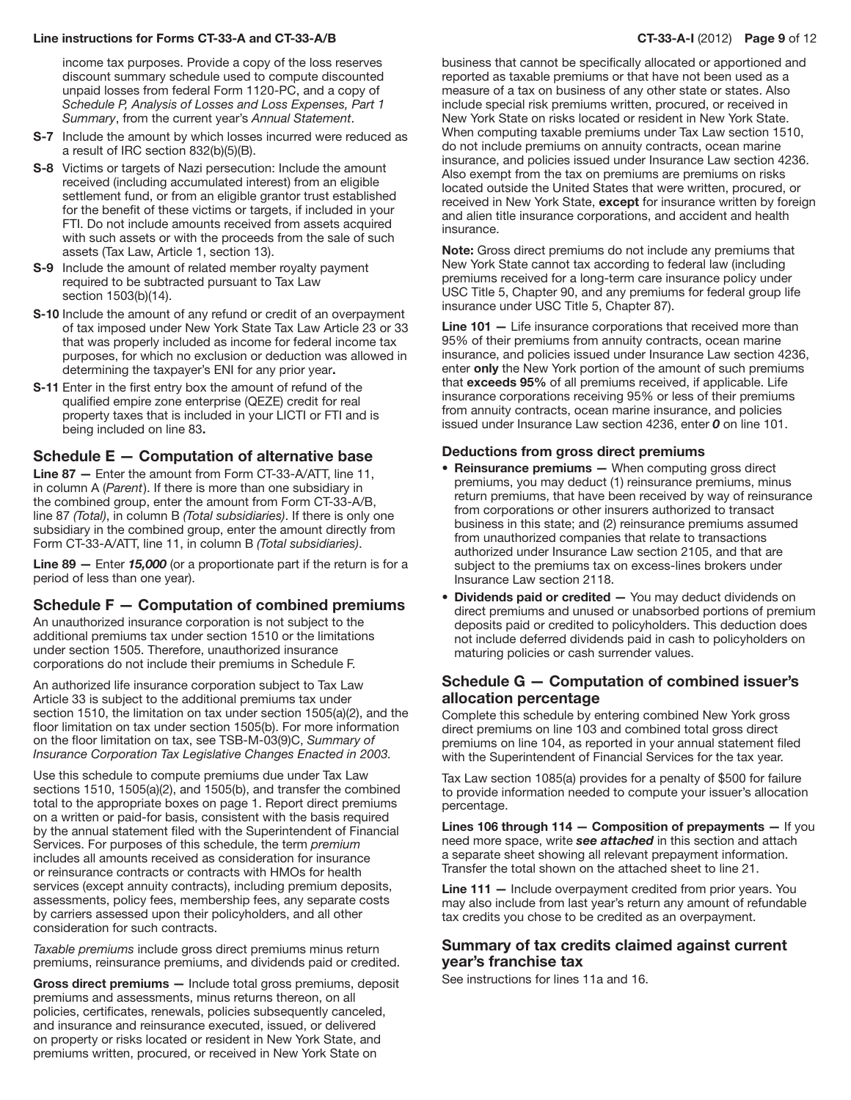#### Line instructions for Forms CT-33-A and CT-33-A/B CT-33-A-I (2012) Page 9 of 12

income tax purposes. Provide a copy of the loss reserves discount summary schedule used to compute discounted unpaid losses from federal Form 1120-PC, and a copy of *Schedule P, Analysis of Losses and Loss Expenses, Part 1 Summary*, from the current year's *Annual Statement*.

- S-7 Include the amount by which losses incurred were reduced as a result of IRC section 832(b)(5)(B).
- S-8 Victims or targets of Nazi persecution: Include the amount received (including accumulated interest) from an eligible settlement fund, or from an eligible grantor trust established for the benefit of these victims or targets, if included in your FTI. Do not include amounts received from assets acquired with such assets or with the proceeds from the sale of such assets (Tax Law, Article 1, section 13).
- S-9 Include the amount of related member royalty payment required to be subtracted pursuant to Tax Law section 1503(b)(14).
- S-10 Include the amount of any refund or credit of an overpayment of tax imposed under New York State Tax Law Article 23 or 33 that was properly included as income for federal income tax purposes, for which no exclusion or deduction was allowed in determining the taxpayer's ENI for any prior year.
- S-11 Enter in the first entry box the amount of refund of the qualified empire zone enterprise (QEZE) credit for real property taxes that is included in your LICTI or FTI and is being included on line 83.

#### Schedule E — Computation of alternative base

Line 87 — Enter the amount from Form CT-33-A/ATT, line 11, in column A (*Parent*). If there is more than one subsidiary in the combined group, enter the amount from Form CT-33-A/B, line 87 *(Total)*, in column B *(Total subsidiaries)*. If there is only one subsidiary in the combined group, enter the amount directly from Form CT‑33‑A/ATT, line 11, in column B *(Total subsidiaries)*.

Line 89 — Enter *15,000* (or a proportionate part if the return is for a period of less than one year).

#### Schedule F — Computation of combined premiums

An unauthorized insurance corporation is not subject to the additional premiums tax under section 1510 or the limitations under section 1505. Therefore, unauthorized insurance corporations do not include their premiums in Schedule F.

An authorized life insurance corporation subject to Tax Law Article 33 is subject to the additional premiums tax under section 1510, the limitation on tax under section 1505(a)(2), and the floor limitation on tax under section 1505(b). For more information on the floor limitation on tax, see TSB-M-03(9)C, *Summary of Insurance Corporation Tax Legislative Changes Enacted in 2003.*

Use this schedule to compute premiums due under Tax Law sections 1510, 1505(a)(2), and 1505(b), and transfer the combined total to the appropriate boxes on page 1. Report direct premiums on a written or paid-for basis, consistent with the basis required by the annual statement filed with the Superintendent of Financial Services. For purposes of this schedule, the term *premium* includes all amounts received as consideration for insurance or reinsurance contracts or contracts with HMOs for health services (except annuity contracts), including premium deposits, assessments, policy fees, membership fees, any separate costs by carriers assessed upon their policyholders, and all other consideration for such contracts.

*Taxable premiums* include gross direct premiums minus return premiums, reinsurance premiums, and dividends paid or credited.

Gross direct premiums - Include total gross premiums, deposit premiums and assessments, minus returns thereon, on all policies, certificates, renewals, policies subsequently canceled, and insurance and reinsurance executed, issued, or delivered on property or risks located or resident in New York State, and premiums written, procured, or received in New York State on

business that cannot be specifically allocated or apportioned and reported as taxable premiums or that have not been used as a measure of a tax on business of any other state or states. Also include special risk premiums written, procured, or received in New York State on risks located or resident in New York State. When computing taxable premiums under Tax Law section 1510, do not include premiums on annuity contracts, ocean marine insurance, and policies issued under Insurance Law section 4236. Also exempt from the tax on premiums are premiums on risks located outside the United States that were written, procured, or received in New York State, **except** for insurance written by foreign and alien title insurance corporations, and accident and health insurance.

Note: Gross direct premiums do not include any premiums that New York State cannot tax according to federal law (including premiums received for a long-term care insurance policy under USC Title 5, Chapter 90, and any premiums for federal group life insurance under USC Title 5, Chapter 87).

Line 101 – Life insurance corporations that received more than 95% of their premiums from annuity contracts, ocean marine insurance, and policies issued under Insurance Law section 4236, enter only the New York portion of the amount of such premiums that exceeds 95% of all premiums received, if applicable. Life insurance corporations receiving 95% or less of their premiums from annuity contracts, ocean marine insurance, and policies issued under Insurance Law section 4236, enter *0* on line 101.

#### Deductions from gross direct premiums

- Reinsurance premiums When computing gross direct premiums, you may deduct (1) reinsurance premiums, minus return premiums, that have been received by way of reinsurance from corporations or other insurers authorized to transact business in this state; and (2) reinsurance premiums assumed from unauthorized companies that relate to transactions authorized under Insurance Law section 2105, and that are subject to the premiums tax on excess-lines brokers under Insurance Law section 2118.
- Dividends paid or credited You may deduct dividends on direct premiums and unused or unabsorbed portions of premium deposits paid or credited to policyholders. This deduction does not include deferred dividends paid in cash to policyholders on maturing policies or cash surrender values.

## Schedule G — Computation of combined issuer's allocation percentage

Complete this schedule by entering combined New York gross direct premiums on line 103 and combined total gross direct premiums on line 104, as reported in your annual statement filed with the Superintendent of Financial Services for the tax year.

Tax Law section 1085(a) provides for a penalty of \$500 for failure to provide information needed to compute your issuer's allocation percentage.

Lines 106 through 114  $-$  Composition of prepayments  $-$  If you need more space, write *see attached* in this section and attach a separate sheet showing all relevant prepayment information. Transfer the total shown on the attached sheet to line 21.

Line 111 – Include overpayment credited from prior years. You may also include from last year's return any amount of refundable tax credits you chose to be credited as an overpayment.

## Summary of tax credits claimed against current year's franchise tax

See instructions for lines 11a and 16.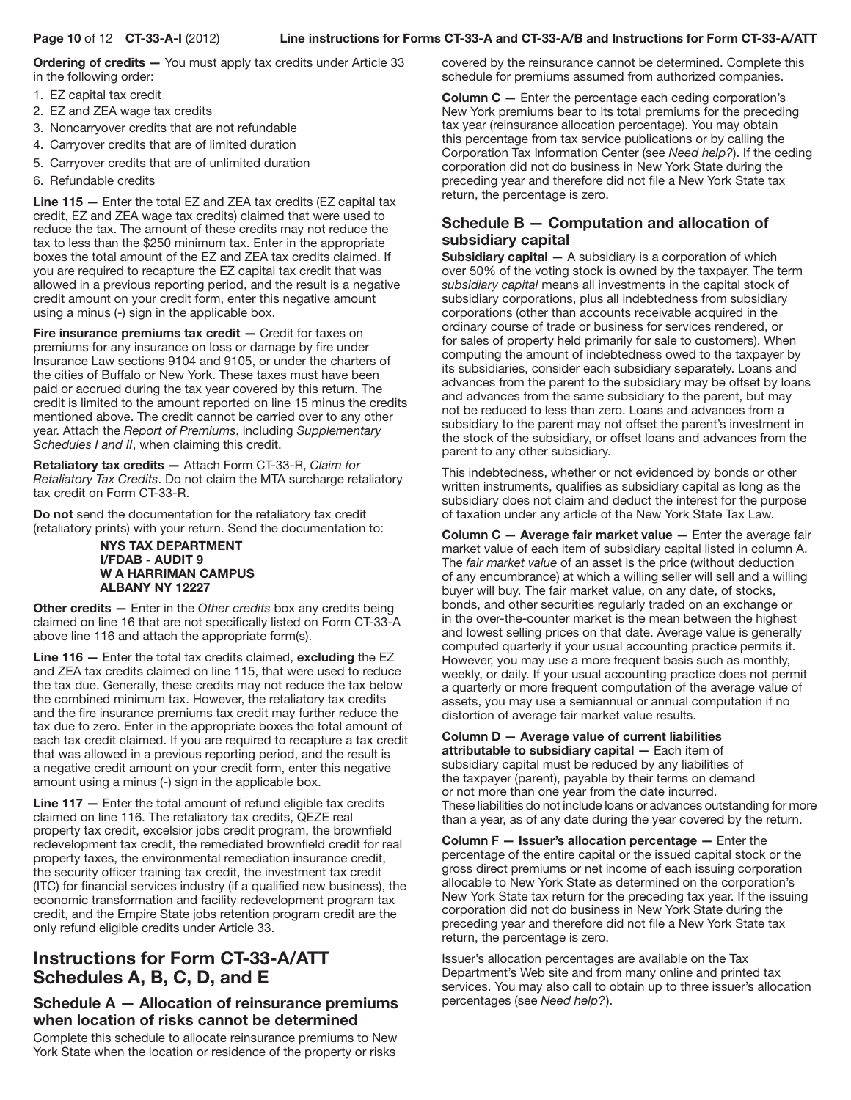#### Page 10 of 12 CT-33-A-I (2012) Line instructions for Forms CT-33-A and CT-33-A/B and Instructions for Form CT-33-A/ATT

Ordering of credits - You must apply tax credits under Article 33 in the following order:

- 1. EZ capital tax credit
- 2. EZ and ZEA wage tax credits
- 3. Noncarryover credits that are not refundable
- 4. Carryover credits that are of limited duration
- 5. Carryover credits that are of unlimited duration
- 6. Refundable credits

Line 115 — Enter the total EZ and ZEA tax credits (EZ capital tax credit, EZ and ZEA wage tax credits) claimed that were used to reduce the tax. The amount of these credits may not reduce the tax to less than the \$250 minimum tax. Enter in the appropriate boxes the total amount of the EZ and ZEA tax credits claimed. If you are required to recapture the EZ capital tax credit that was allowed in a previous reporting period, and the result is a negative credit amount on your credit form, enter this negative amount using a minus (-) sign in the applicable box.

Fire insurance premiums tax credit – Credit for taxes on premiums for any insurance on loss or damage by fire under Insurance Law sections 9104 and 9105, or under the charters of the cities of Buffalo or New York. These taxes must have been paid or accrued during the tax year covered by this return. The credit is limited to the amount reported on line 15 minus the credits mentioned above. The credit cannot be carried over to any other year. Attach the *Report of Premiums*, including *Supplementary Schedules I and II*, when claiming this credit.

Retaliatory tax credits — Attach Form CT-33-R, *Claim for Retaliatory Tax Credits*. Do not claim the MTA surcharge retaliatory tax credit on Form CT-33-R.

Do not send the documentation for the retaliatory tax credit (retaliatory prints) with your return. Send the documentation to:

#### NYS TAX DEPARTMENT I/FDAB - AUDIT 9 W A HARRIMAN CAMPUS ALBANY NY 12227

Other credits — Enter in the *Other credits* box any credits being claimed on line 16 that are not specifically listed on Form CT-33-A above line 116 and attach the appropriate form(s).

Line 116 — Enter the total tax credits claimed, excluding the EZ and ZEA tax credits claimed on line 115, that were used to reduce the tax due. Generally, these credits may not reduce the tax below the combined minimum tax. However, the retaliatory tax credits and the fire insurance premiums tax credit may further reduce the tax due to zero. Enter in the appropriate boxes the total amount of each tax credit claimed. If you are required to recapture a tax credit that was allowed in a previous reporting period, and the result is a negative credit amount on your credit form, enter this negative amount using a minus (-) sign in the applicable box.

Line 117 — Enter the total amount of refund eligible tax credits claimed on line 116. The retaliatory tax credits, QEZE real property tax credit, excelsior jobs credit program, the brownfield redevelopment tax credit, the remediated brownfield credit for real property taxes, the environmental remediation insurance credit, the security officer training tax credit, the investment tax credit (ITC) for financial services industry (if a qualified new business), the economic transformation and facility redevelopment program tax credit, and the Empire State jobs retention program credit are the only refund eligible credits under Article 33.

# Instructions for Form CT-33-A/ATT Schedules A, B, C, D, and E

# Schedule A — Allocation of reinsurance premiums when location of risks cannot be determined

Complete this schedule to allocate reinsurance premiums to New York State when the location or residence of the property or risks

covered by the reinsurance cannot be determined. Complete this schedule for premiums assumed from authorized companies.

Column C — Enter the percentage each ceding corporation's New York premiums bear to its total premiums for the preceding tax year (reinsurance allocation percentage). You may obtain this percentage from tax service publications or by calling the Corporation Tax Information Center (see *Need help?*). If the ceding corporation did not do business in New York State during the preceding year and therefore did not file a New York State tax return, the percentage is zero.

# Schedule B — Computation and allocation of subsidiary capital

**Subsidiary capital**  $-$  A subsidiary is a corporation of which over 50% of the voting stock is owned by the taxpayer. The term *subsidiary capital* means all investments in the capital stock of subsidiary corporations, plus all indebtedness from subsidiary corporations (other than accounts receivable acquired in the ordinary course of trade or business for services rendered, or for sales of property held primarily for sale to customers). When computing the amount of indebtedness owed to the taxpayer by its subsidiaries, consider each subsidiary separately. Loans and advances from the parent to the subsidiary may be offset by loans and advances from the same subsidiary to the parent, but may not be reduced to less than zero. Loans and advances from a subsidiary to the parent may not offset the parent's investment in the stock of the subsidiary, or offset loans and advances from the parent to any other subsidiary.

This indebtedness, whether or not evidenced by bonds or other written instruments, qualifies as subsidiary capital as long as the subsidiary does not claim and deduct the interest for the purpose of taxation under any article of the New York State Tax Law.

Column C — Average fair market value — Enter the average fair market value of each item of subsidiary capital listed in column A. The *fair market value* of an asset is the price (without deduction of any encumbrance) at which a willing seller will sell and a willing buyer will buy. The fair market value, on any date, of stocks, bonds, and other securities regularly traded on an exchange or in the over-the-counter market is the mean between the highest and lowest selling prices on that date. Average value is generally computed quarterly if your usual accounting practice permits it. However, you may use a more frequent basis such as monthly, weekly, or daily. If your usual accounting practice does not permit a quarterly or more frequent computation of the average value of assets, you may use a semiannual or annual computation if no distortion of average fair market value results.

#### Column D — Average value of current liabilities attributable to subsidiary capital — Each item of

subsidiary capital must be reduced by any liabilities of the taxpayer (parent), payable by their terms on demand or not more than one year from the date incurred. These liabilities do not include loans or advances outstanding for more than a year, as of any date during the year covered by the return.

Column F — Issuer's allocation percentage — Enter the percentage of the entire capital or the issued capital stock or the gross direct premiums or net income of each issuing corporation allocable to New York State as determined on the corporation's New York State tax return for the preceding tax year. If the issuing corporation did not do business in New York State during the preceding year and therefore did not file a New York State tax return, the percentage is zero.

Issuer's allocation percentages are available on the Tax Department's Web site and from many online and printed tax services. You may also call to obtain up to three issuer's allocation percentages (see *Need help?*).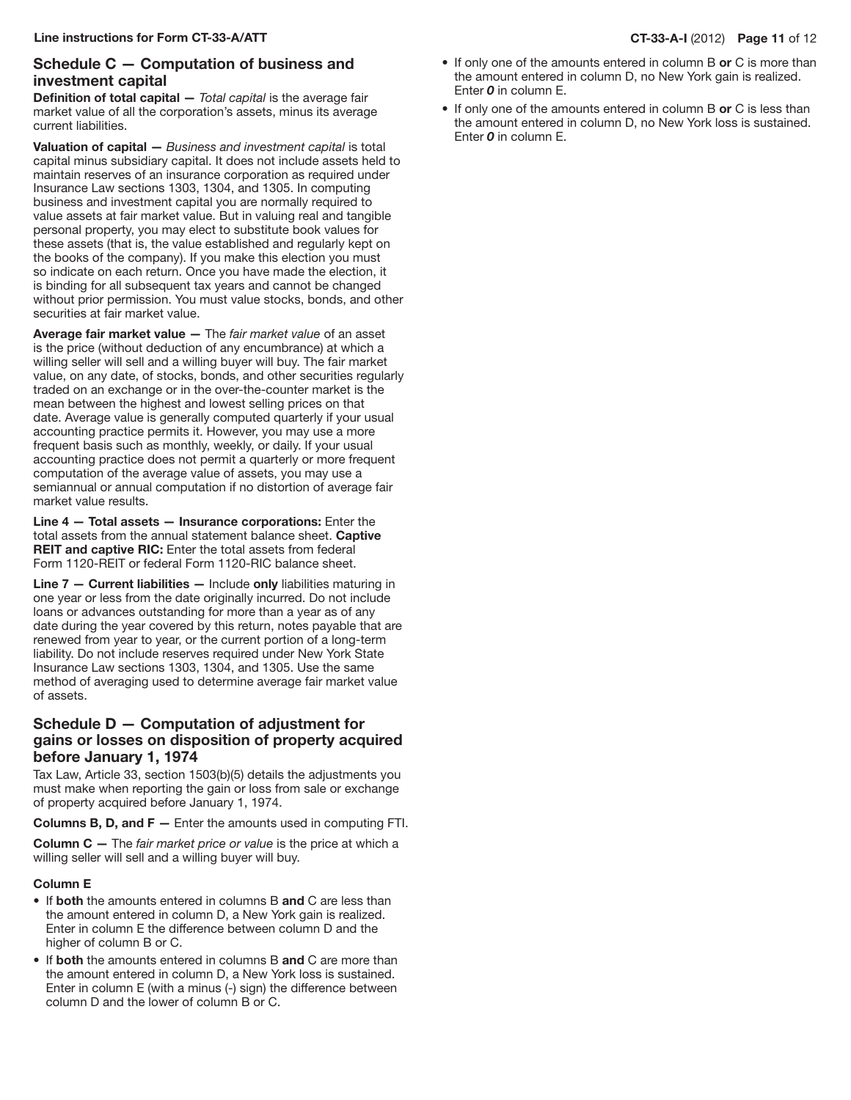# Schedule C — Computation of business and investment capital

Definition of total capital — *Total capital* is the average fair market value of all the corporation's assets, minus its average current liabilities.

Valuation of capital — *Business and investment capital* is total capital minus subsidiary capital. It does not include assets held to maintain reserves of an insurance corporation as required under Insurance Law sections 1303, 1304, and 1305. In computing business and investment capital you are normally required to value assets at fair market value. But in valuing real and tangible personal property, you may elect to substitute book values for these assets (that is, the value established and regularly kept on the books of the company). If you make this election you must so indicate on each return. Once you have made the election, it is binding for all subsequent tax years and cannot be changed without prior permission. You must value stocks, bonds, and other securities at fair market value.

Average fair market value — The *fair market value* of an asset is the price (without deduction of any encumbrance) at which a willing seller will sell and a willing buyer will buy. The fair market value, on any date, of stocks, bonds, and other securities regularly traded on an exchange or in the over-the-counter market is the mean between the highest and lowest selling prices on that date. Average value is generally computed quarterly if your usual accounting practice permits it. However, you may use a more frequent basis such as monthly, weekly, or daily. If your usual accounting practice does not permit a quarterly or more frequent computation of the average value of assets, you may use a semiannual or annual computation if no distortion of average fair market value results.

Line 4 — Total assets — Insurance corporations: Enter the total assets from the annual statement balance sheet. Captive **REIT and captive RIC:** Enter the total assets from federal Form 1120-REIT or federal Form 1120-RIC balance sheet.

Line 7 - Current liabilities - Include only liabilities maturing in one year or less from the date originally incurred. Do not include loans or advances outstanding for more than a year as of any date during the year covered by this return, notes payable that are renewed from year to year, or the current portion of a long-term liability. Do not include reserves required under New York State Insurance Law sections 1303, 1304, and 1305. Use the same method of averaging used to determine average fair market value of assets.

# Schedule D — Computation of adjustment for gains or losses on disposition of property acquired before January 1, 1974

Tax Law, Article 33, section 1503(b)(5) details the adjustments you must make when reporting the gain or loss from sale or exchange of property acquired before January 1, 1974.

**Columns B, D, and F**  $-$  Enter the amounts used in computing FTI.

Column C — The *fair market price or value* is the price at which a willing seller will sell and a willing buyer will buy.

#### Column E

- If both the amounts entered in columns B and C are less than the amount entered in column D, a New York gain is realized. Enter in column E the difference between column D and the higher of column B or C.
- If both the amounts entered in columns B and C are more than the amount entered in column D, a New York loss is sustained. Enter in column E (with a minus (-) sign) the difference between column D and the lower of column B or C.
- $\bullet$  If only one of the amounts entered in column B or C is more than the amount entered in column D, no New York gain is realized. Enter *0* in column E.
- If only one of the amounts entered in column B or C is less than the amount entered in column D, no New York loss is sustained. Enter *0* in column E.